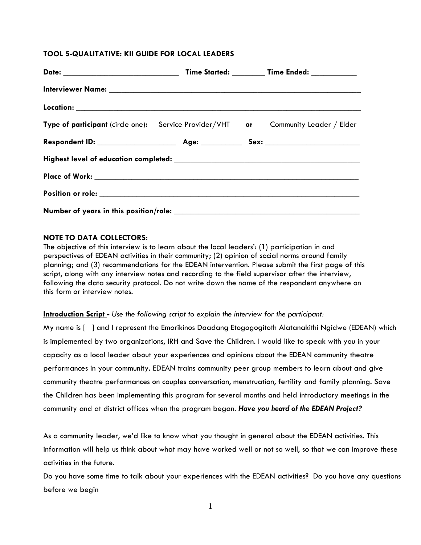## **TOOL 5-QUALITATIVE: KII GUIDE FOR LOCAL LEADERS**

| Type of participant (circle one): Service Provider/VHT or Community Leader / Elder                                                                                                                                             |  |  |
|--------------------------------------------------------------------------------------------------------------------------------------------------------------------------------------------------------------------------------|--|--|
|                                                                                                                                                                                                                                |  |  |
|                                                                                                                                                                                                                                |  |  |
|                                                                                                                                                                                                                                |  |  |
| Position or role: the contract of the contract of the contract of the contract of the contract of the contract of the contract of the contract of the contract of the contract of the contract of the contract of the contract |  |  |
|                                                                                                                                                                                                                                |  |  |

### **NOTE TO DATA COLLECTORS:**

The objective of this interview is to learn about the local leaders': (1) participation in and perspectives of EDEAN activities in their community; (2) opinion of social norms around family planning; and (3) recommendations for the EDEAN intervention. Please submit the first page of this script, along with any interview notes and recording to the field supervisor after the interview, following the data security protocol. Do not write down the name of the respondent anywhere on this form or interview notes.

#### **Introduction Script -** *Use the following script to explain the interview for the participant:*

My name is [ ] and I represent the Emorikinos Daadang Etogogogitoth Alatanakithi Ngidwe (EDEAN) which is implemented by two organizations, IRH and Save the Children. I would like to speak with you in your capacity as a local leader about your experiences and opinions about the EDEAN community theatre performances in your community. EDEAN trains community peer group members to learn about and give community theatre performances on couples conversation, menstruation, fertility and family planning. Save the Children has been implementing this program for several months and held introductory meetings in the community and at district offices when the program began. *Have you heard of the EDEAN Project?*

As a community leader, we'd like to know what you thought in general about the EDEAN activities. This information will help us think about what may have worked well or not so well, so that we can improve these activities in the future.

Do you have some time to talk about your experiences with the EDEAN activities? Do you have any questions before we begin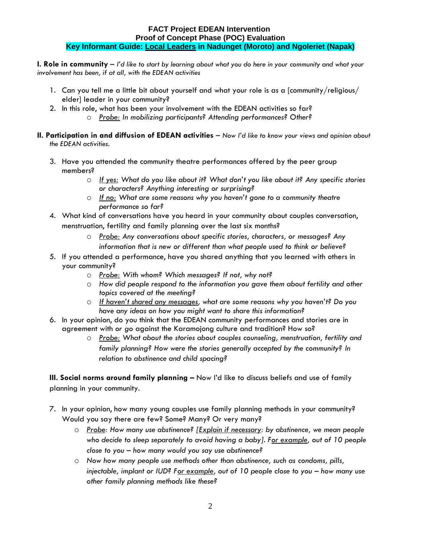## **FACT Project EDEAN Intervention Proof of Concept Phase (POC) Evaluation Key Informant Guide: Local Leaders in Nadunget (Moroto) and Ngoleriet (Napak)**

**I. Role in community** – *I'd like to start by learning about what you do here in your community and what your involvement has been, if at all, with the EDEAN activities*

- 1. Can you tell me a little bit about yourself and what your role is as a [community/religious/ elder] leader in your community?
- 2. In this role, what has been your involvement with the EDEAN activities so far?
	- o *Probe: In mobilizing participants? Attending performances? Other?*
- **II. Participation in and diffusion of EDEAN activities** *Now I'd like to know your views and opinion about the EDEAN activities.*
	- 3. Have you attended the community theatre performances offered by the peer group members?
		- o *If yes: What do you like about it? What don't you like about it? Any specific stories or characters? Anything interesting or surprising?*
		- o *If no: What are some reasons why you haven't gone to a community theatre performance so far?*
	- 4. What kind of conversations have you heard in your community about couples conversation, menstruation, fertility and family planning over the last six months?
		- o *Probe: Any conversations about specific stories, characters, or messages? Any information that is new or different than what people used to think or believe?*
	- 5. If you attended a performance, have you shared anything that you learned with others in your community?
		- o *Probe: With whom? Which messages? If not, why not?*
		- o *How did people respond to the information you gave them about fertility and other topics covered at the meeting?*
		- o *If haven't shared any messages, what are some reasons why you haven't? Do you have any ideas on how you might want to share this information?*
	- 6. In your opinion, do you think that the EDEAN community performances and stories are in agreement with *or go* against the Karamojong culture and tradition? How so?
		- o *Probe: What about the stories about couples counseling, menstruation, fertility and family planning? How were the stories generally accepted by the community? In relation to abstinence and child spacing?*

**III. Social norms around family planning -** Now I'd like to discuss beliefs and use of family planning in your community.

- 7. In your opinion, how many young couples use family planning methods in your community? Would you say there are few? Some? Many? Or very many?
	- o *Probe: How many use abstinence? [Explain if necessary: by abstinence, we mean people who decide to sleep separately to avoid having a baby]. For example, out of 10 people close to you – how many would you say use abstinence?*
	- o *Now how many people use methods other than abstinence, such as condoms, pills, injectable, implant or IUD? For example, out of 10 people close to you – how many use other family planning methods like these?*